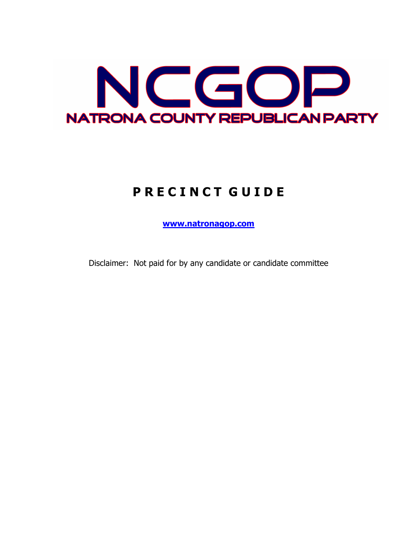

# **P R E C I N C T G U I D E**

**www.natronagop.com**

Disclaimer: Not paid for by any candidate or candidate committee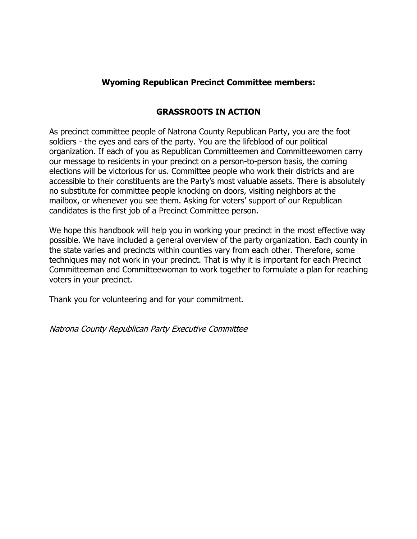## **Wyoming Republican Precinct Committee members:**

# **GRASSROOTS IN ACTION**

As precinct committee people of Natrona County Republican Party, you are the foot soldiers - the eyes and ears of the party. You are the lifeblood of our political organization. If each of you as Republican Committeemen and Committeewomen carry our message to residents in your precinct on a person-to-person basis, the coming elections will be victorious for us. Committee people who work their districts and are accessible to their constituents are the Party's most valuable assets. There is absolutely no substitute for committee people knocking on doors, visiting neighbors at the mailbox, or whenever you see them. Asking for voters' support of our Republican candidates is the first job of a Precinct Committee person.

We hope this handbook will help you in working your precinct in the most effective way possible. We have included a general overview of the party organization. Each county in the state varies and precincts within counties vary from each other. Therefore, some techniques may not work in your precinct. That is why it is important for each Precinct Committeeman and Committeewoman to work together to formulate a plan for reaching voters in your precinct.

Thank you for volunteering and for your commitment.

Natrona County Republican Party Executive Committee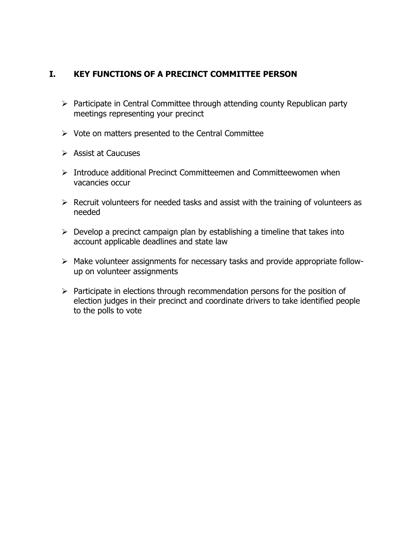## **I. KEY FUNCTIONS OF A PRECINCT COMMITTEE PERSON**

- $\triangleright$  Participate in Central Committee through attending county Republican party meetings representing your precinct
- $\triangleright$  Vote on matters presented to the Central Committee
- $\triangleright$  Assist at Caucuses
- Ø Introduce additional Precinct Committeemen and Committeewomen when vacancies occur
- $\triangleright$  Recruit volunteers for needed tasks and assist with the training of volunteers as needed
- $\triangleright$  Develop a precinct campaign plan by establishing a timeline that takes into account applicable deadlines and state law
- $\triangleright$  Make volunteer assignments for necessary tasks and provide appropriate followup on volunteer assignments
- $\triangleright$  Participate in elections through recommendation persons for the position of election judges in their precinct and coordinate drivers to take identified people to the polls to vote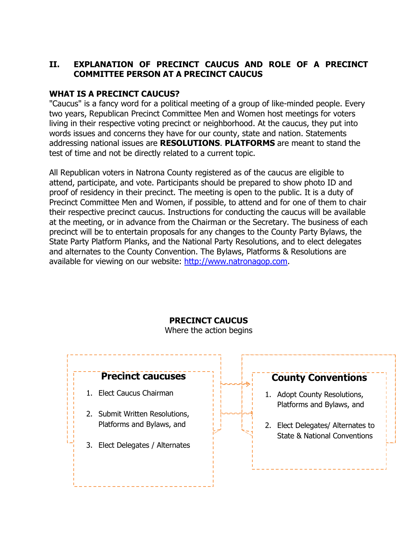# **II. EXPLANATION OF PRECINCT CAUCUS AND ROLE OF A PRECINCT COMMITTEE PERSON AT A PRECINCT CAUCUS**

## **WHAT IS A PRECINCT CAUCUS?**

"Caucus" is a fancy word for a political meeting of a group of like-minded people. Every two years, Republican Precinct Committee Men and Women host meetings for voters living in their respective voting precinct or neighborhood. At the caucus, they put into words issues and concerns they have for our county, state and nation. Statements addressing national issues are **RESOLUTIONS**. **PLATFORMS** are meant to stand the test of time and not be directly related to a current topic.

All Republican voters in Natrona County registered as of the caucus are eligible to attend, participate, and vote. Participants should be prepared to show photo ID and proof of residency in their precinct. The meeting is open to the public. It is a duty of Precinct Committee Men and Women, if possible, to attend and for one of them to chair their respective precinct caucus. Instructions for conducting the caucus will be available at the meeting, or in advance from the Chairman or the Secretary. The business of each precinct will be to entertain proposals for any changes to the County Party Bylaws, the State Party Platform Planks, and the National Party Resolutions, and to elect delegates and alternates to the County Convention. The Bylaws, Platforms & Resolutions are available for viewing on our website: http://www.natronagop.com.

# **Precinct caucuses** 1. Elect Caucus Chairman 2. Submit Written Resolutions, Platforms and Bylaws, and 3. Elect Delegates / Alternates **County Conventions** 1. Adopt County Resolutions, Platforms and Bylaws, and 2. Elect Delegates/ Alternates to State & National Conventions

# **PRECINCT CAUCUS**

Where the action begins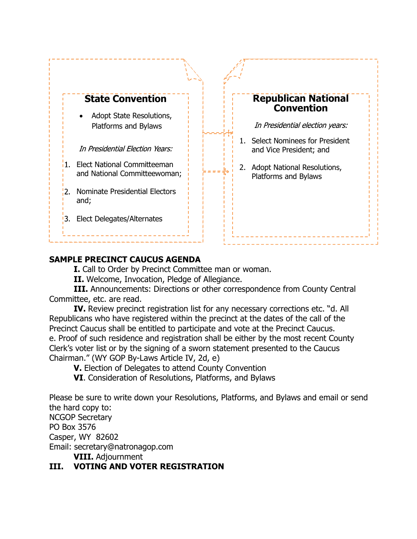

## **SAMPLE PRECINCT CAUCUS AGENDA**

**I.** Call to Order by Precinct Committee man or woman.

**II.** Welcome, Invocation, Pledge of Allegiance.

**III.** Announcements: Directions or other correspondence from County Central Committee, etc. are read.

**IV.** Review precinct registration list for any necessary corrections etc. "d. All Republicans who have registered within the precinct at the dates of the call of the Precinct Caucus shall be entitled to participate and vote at the Precinct Caucus. e. Proof of such residence and registration shall be either by the most recent County Clerk's voter list or by the signing of a sworn statement presented to the Caucus Chairman." (WY GOP By-Laws Article IV, 2d, e)

**V.** Election of Delegates to attend County Convention

**VI**. Consideration of Resolutions, Platforms, and Bylaws

Please be sure to write down your Resolutions, Platforms, and Bylaws and email or send the hard copy to:

NCGOP Secretary PO Box 3576 Casper, WY 82602 Email: secretary@natronagop.com

**VIII.** Adjournment

# **III. VOTING AND VOTER REGISTRATION**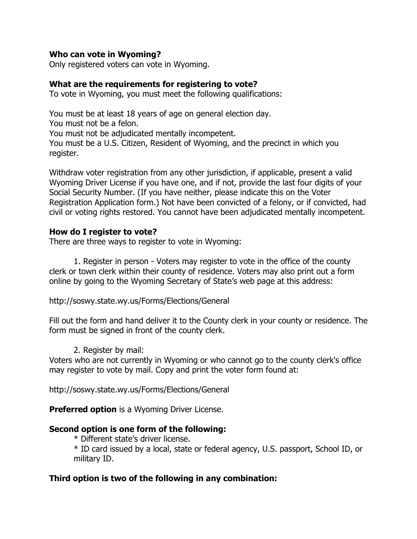#### **Who can vote in Wyoming?**

Only registered voters can vote in Wyoming.

## **What are the requirements for registering to vote?**

To vote in Wyoming, you must meet the following qualifications:

You must be at least 18 years of age on general election day. You must not be a felon. You must not be adjudicated mentally incompetent. You must be a U.S. Citizen, Resident of Wyoming, and the precinct in which you register.

Withdraw voter registration from any other jurisdiction, if applicable, present a valid Wyoming Driver License if you have one, and if not, provide the last four digits of your Social Security Number. (If you have neither, please indicate this on the Voter Registration Application form.) Not have been convicted of a felony, or if convicted, had civil or voting rights restored. You cannot have been adjudicated mentally incompetent.

## **How do I register to vote?**

There are three ways to register to vote in Wyoming:

1. Register in person - Voters may register to vote in the office of the county clerk or town clerk within their county of residence. Voters may also print out a form online by going to the Wyoming Secretary of State's web page at this address:

http://soswy.state.wy.us/Forms/Elections/General

Fill out the form and hand deliver it to the County clerk in your county or residence. The form must be signed in front of the county clerk.

#### 2. Register by mail:

Voters who are not currently in Wyoming or who cannot go to the county clerk's office may register to vote by mail. Copy and print the voter form found at:

http://soswy.state.wy.us/Forms/Elections/General

**Preferred option** is a Wyoming Driver License.

## **Second option is one form of the following:**

\* Different state's driver license.

\* ID card issued by a local, state or federal agency, U.S. passport, School ID, or military ID.

# **Third option is two of the following in any combination:**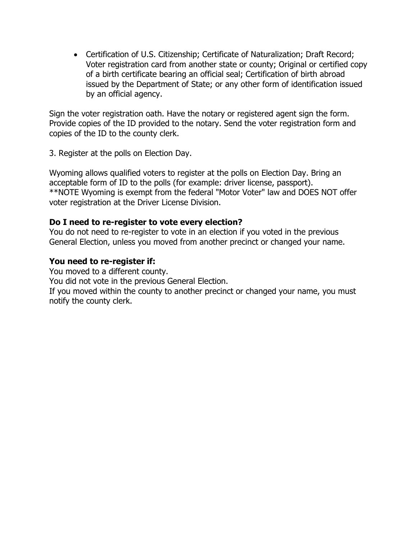• Certification of U.S. Citizenship; Certificate of Naturalization; Draft Record; Voter registration card from another state or county; Original or certified copy of a birth certificate bearing an official seal; Certification of birth abroad issued by the Department of State; or any other form of identification issued by an official agency.

Sign the voter registration oath. Have the notary or registered agent sign the form. Provide copies of the ID provided to the notary. Send the voter registration form and copies of the ID to the county clerk.

3. Register at the polls on Election Day.

Wyoming allows qualified voters to register at the polls on Election Day. Bring an acceptable form of ID to the polls (for example: driver license, passport). \*\*NOTE Wyoming is exempt from the federal "Motor Voter" law and DOES NOT offer voter registration at the Driver License Division.

## **Do I need to re-register to vote every election?**

You do not need to re-register to vote in an election if you voted in the previous General Election, unless you moved from another precinct or changed your name.

#### **You need to re-register if:**

You moved to a different county.

You did not vote in the previous General Election.

If you moved within the county to another precinct or changed your name, you must notify the county clerk.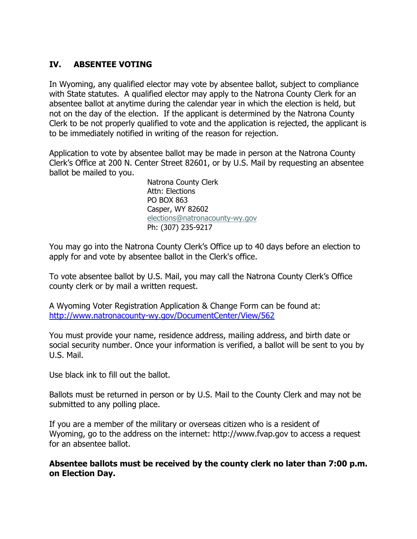# **IV. ABSENTEE VOTING**

In Wyoming, any qualified elector may vote by absentee ballot, subject to compliance with State statutes. A qualified elector may apply to the Natrona County Clerk for an absentee ballot at anytime during the calendar year in which the election is held, but not on the day of the election. If the applicant is determined by the Natrona County Clerk to be not properly qualified to vote and the application is rejected, the applicant is to be immediately notified in writing of the reason for rejection.

Application to vote by absentee ballot may be made in person at the Natrona County Clerk's Office at 200 N. Center Street 82601, or by U.S. Mail by requesting an absentee ballot be mailed to you.

> Natrona County Clerk Attn: Elections PO BOX 863 Casper, WY 82602 elections@natronacounty-wy.gov Ph: (307) 235-9217

You may go into the Natrona County Clerk's Office up to 40 days before an election to apply for and vote by absentee ballot in the Clerk's office.

To vote absentee ballot by U.S. Mail, you may call the Natrona County Clerk's Office county clerk or by mail a written request.

A Wyoming Voter Registration Application & Change Form can be found at: http://www.natronacounty-wy.gov/DocumentCenter/View/562

You must provide your name, residence address, mailing address, and birth date or social security number. Once your information is verified, a ballot will be sent to you by U.S. Mail.

Use black ink to fill out the ballot.

Ballots must be returned in person or by U.S. Mail to the County Clerk and may not be submitted to any polling place.

If you are a member of the military or overseas citizen who is a resident of Wyoming, go to the address on the internet: http://www.fvap.gov to access a request for an absentee ballot.

**Absentee ballots must be received by the county clerk no later than 7:00 p.m. on Election Day.**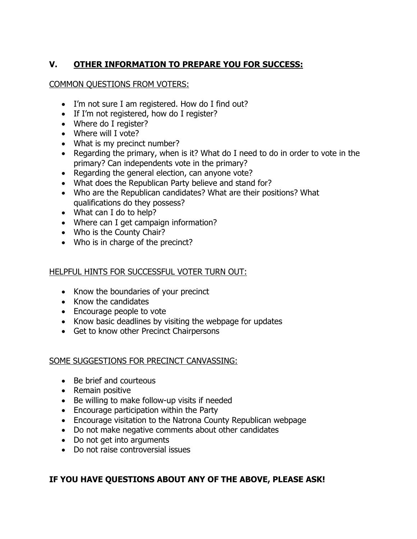# **V. OTHER INFORMATION TO PREPARE YOU FOR SUCCESS:**

### COMMON QUESTIONS FROM VOTERS:

- I'm not sure I am registered. How do I find out?
- If I'm not registered, how do I register?
- Where do I register?
- Where will I vote?
- What is my precinct number?
- Regarding the primary, when is it? What do I need to do in order to vote in the primary? Can independents vote in the primary?
- Regarding the general election, can anyone vote?
- What does the Republican Party believe and stand for?
- Who are the Republican candidates? What are their positions? What qualifications do they possess?
- What can I do to help?
- Where can I get campaign information?
- Who is the County Chair?
- Who is in charge of the precinct?

## HELPFUL HINTS FOR SUCCESSFUL VOTER TURN OUT:

- Know the boundaries of your precinct
- Know the candidates
- Encourage people to vote
- Know basic deadlines by visiting the webpage for updates
- Get to know other Precinct Chairpersons

## SOME SUGGESTIONS FOR PRECINCT CANVASSING:

- Be brief and courteous
- Remain positive
- Be willing to make follow-up visits if needed
- Encourage participation within the Party
- Encourage visitation to the Natrona County Republican webpage
- Do not make negative comments about other candidates
- Do not get into arguments
- Do not raise controversial issues

# **IF YOU HAVE QUESTIONS ABOUT ANY OF THE ABOVE, PLEASE ASK!**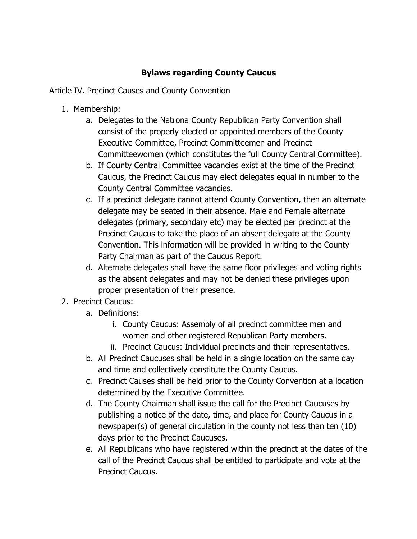# **Bylaws regarding County Caucus**

Article IV. Precinct Causes and County Convention

- 1. Membership:
	- a. Delegates to the Natrona County Republican Party Convention shall consist of the properly elected or appointed members of the County Executive Committee, Precinct Committeemen and Precinct Committeewomen (which constitutes the full County Central Committee).
	- b. If County Central Committee vacancies exist at the time of the Precinct Caucus, the Precinct Caucus may elect delegates equal in number to the County Central Committee vacancies.
	- c. If a precinct delegate cannot attend County Convention, then an alternate delegate may be seated in their absence. Male and Female alternate delegates (primary, secondary etc) may be elected per precinct at the Precinct Caucus to take the place of an absent delegate at the County Convention. This information will be provided in writing to the County Party Chairman as part of the Caucus Report.
	- d. Alternate delegates shall have the same floor privileges and voting rights as the absent delegates and may not be denied these privileges upon proper presentation of their presence.
- 2. Precinct Caucus:
	- a. Definitions:
		- i. County Caucus: Assembly of all precinct committee men and women and other registered Republican Party members.
		- ii. Precinct Caucus: Individual precincts and their representatives.
	- b. All Precinct Caucuses shall be held in a single location on the same day and time and collectively constitute the County Caucus.
	- c. Precinct Causes shall be held prior to the County Convention at a location determined by the Executive Committee.
	- d. The County Chairman shall issue the call for the Precinct Caucuses by publishing a notice of the date, time, and place for County Caucus in a newspaper(s) of general circulation in the county not less than ten (10) days prior to the Precinct Caucuses.
	- e. All Republicans who have registered within the precinct at the dates of the call of the Precinct Caucus shall be entitled to participate and vote at the Precinct Caucus.